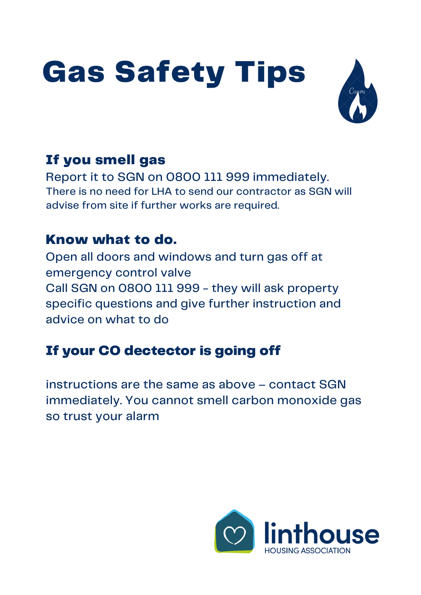Report it to SGN on 0800 111 999 immediately. There is no need for LHA to send our contractor as SGN will advise from site if further works are required.

### If you smell gas

Open all doors and windows and turn gas off at emergency control valve Call SGN on 0800 111 999 - they will ask property specific questions and give further instruction and advice on what to do

#### Know what to do.

instructions are the same as above – contact SGN immediately. You cannot smell carbon monoxide gas so trust your alarm



# Gas Safety Tips



#### If your CO dectector is going off